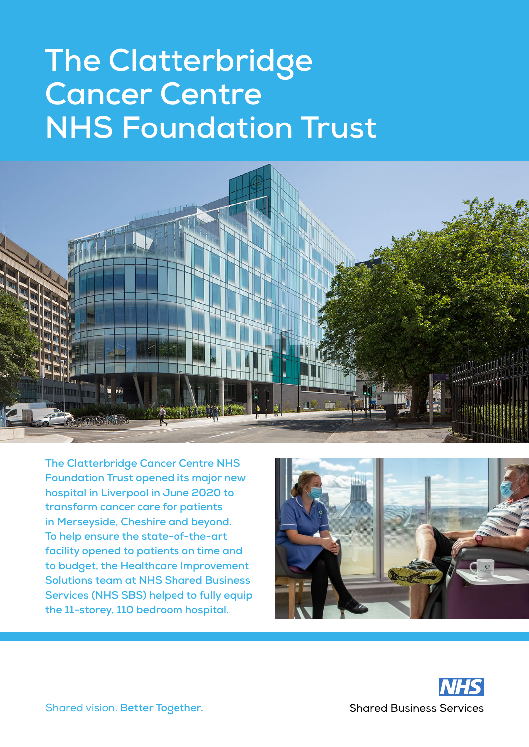# **The Clatterbridge Cancer Centre NHS Foundation Trust**



**The Clatterbridge Cancer Centre NHS Foundation Trust opened its major new hospital in Liverpool in June 2020 to transform cancer care for patients in Merseyside, Cheshire and beyond. To help ensure the state-of-the-art facility opened to patients on time and to budget, the Healthcare Improvement Solutions team at NHS Shared Business Services (NHS SBS) helped to fully equip the 11-storey, 110 bedroom hospital.**



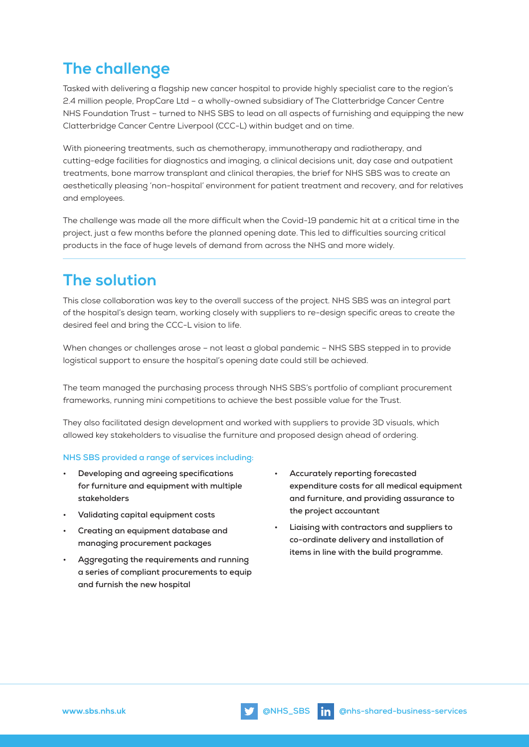## **The challenge**

Tasked with delivering a flagship new cancer hospital to provide highly specialist care to the region's 2.4 million people, PropCare Ltd – a wholly-owned subsidiary of The Clatterbridge Cancer Centre NHS Foundation Trust – turned to NHS SBS to lead on all aspects of furnishing and equipping the new Clatterbridge Cancer Centre Liverpool (CCC-L) within budget and on time.

With pioneering treatments, such as chemotherapy, immunotherapy and radiotherapy, and cutting-edge facilities for diagnostics and imaging, a clinical decisions unit, day case and outpatient treatments, bone marrow transplant and clinical therapies, the brief for NHS SBS was to create an aesthetically pleasing 'non-hospital' environment for patient treatment and recovery, and for relatives and employees.

The challenge was made all the more difficult when the Covid-19 pandemic hit at a critical time in the project, just a few months before the planned opening date. This led to difficulties sourcing critical products in the face of huge levels of demand from across the NHS and more widely.

### **The solution**

This close collaboration was key to the overall success of the project. NHS SBS was an integral part of the hospital's design team, working closely with suppliers to re-design specific areas to create the desired feel and bring the CCC-L vision to life.

When changes or challenges arose - not least a global pandemic - NHS SBS stepped in to provide logistical support to ensure the hospital's opening date could still be achieved.

The team managed the purchasing process through NHS SBS's portfolio of compliant procurement frameworks, running mini competitions to achieve the best possible value for the Trust.

They also facilitated design development and worked with suppliers to provide 3D visuals, which allowed key stakeholders to visualise the furniture and proposed design ahead of ordering.

#### **NHS SBS provided a range of services including:**

- **• Developing and agreeing specifications for furniture and equipment with multiple stakeholders**
- **• Validating capital equipment costs**
- **• Creating an equipment database and managing procurement packages**
- **• Aggregating the requirements and running a series of compliant procurements to equip and furnish the new hospital**
- **• Accurately reporting forecasted expenditure costs for all medical equipment and furniture, and providing assurance to the project accountant**
- **• Liaising with contractors and suppliers to co-ordinate delivery and installation of items in line with the build programme.**